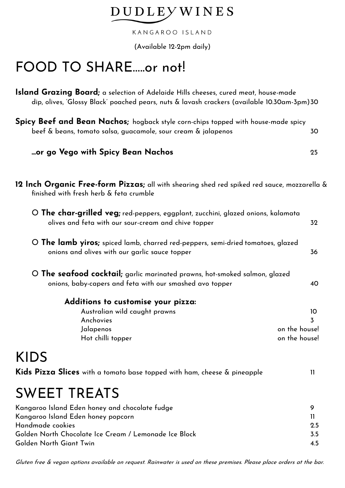### **DUDLEYWINES**

KANGAROO ISLAND

(Available 12-2pm daily)

## FOOD TO SHARE.....or not!

**Island Grazing Board;** a selection of Adelaide Hills cheeses, cured meat, house-made dip, olives, 'Glossy Black' poached pears, nuts & lavash crackers (available 10.30am-3pm)30

| Spicy Beef and Bean Nachos; hogback style corn-chips topped with house-made spicy |    |
|-----------------------------------------------------------------------------------|----|
| beef & beans, tomato salsa, guacamole, sour cream & jalapenos                     | 30 |

#### **...or go Vego with Spicy Bean Nachos** 25

**12 Inch Organic Free-form Pizzas;** all with shearing shed red spiked red sauce, mozzarella & finished with fresh herb & feta crumble

| O The char-grilled veg; red-peppers, eggplant, zucchini, glazed onions, kalamata<br>olives and feta with our sour-cream and chive topper |                     |  |
|------------------------------------------------------------------------------------------------------------------------------------------|---------------------|--|
| O The lamb yiros; spiced lamb, charred red-peppers, semi-dried tomatoes, glazed<br>onions and olives with our garlic sauce topper        | 36                  |  |
| O The seafood cocktail; garlic marinated prawns, hot-smoked salmon, glazed<br>onions, baby-capers and feta with our smashed avo topper   | 40                  |  |
| Additions to customise your pizza:                                                                                                       |                     |  |
| Australian wild caught prawns                                                                                                            | 10                  |  |
| Anchovies                                                                                                                                | $\overline{3}$      |  |
| Jalapenos                                                                                                                                | on the house!       |  |
| Hot chilli topper                                                                                                                        | on the house!       |  |
| <b>KIDS</b>                                                                                                                              |                     |  |
| Kids Pizza Slices with a tomato base topped with ham, cheese & pineapple                                                                 | $\mathbf{1}$        |  |
| <b>SWEET TREATS</b>                                                                                                                      |                     |  |
| Kangaroo Island Eden honey and chocolate fudge                                                                                           | 9                   |  |
| Kangaroo Island Eden honey popcorn                                                                                                       |                     |  |
| Handmade cookies                                                                                                                         | $\mathbf{1}$<br>2.5 |  |
| Golden North Chocolate Ice Cream / Lemonade Ice Block                                                                                    |                     |  |
| Golden North Giant Twin                                                                                                                  |                     |  |

Gluten free & vegan options available on request. Rainwater is used on these premises. Please place orders at the bar.